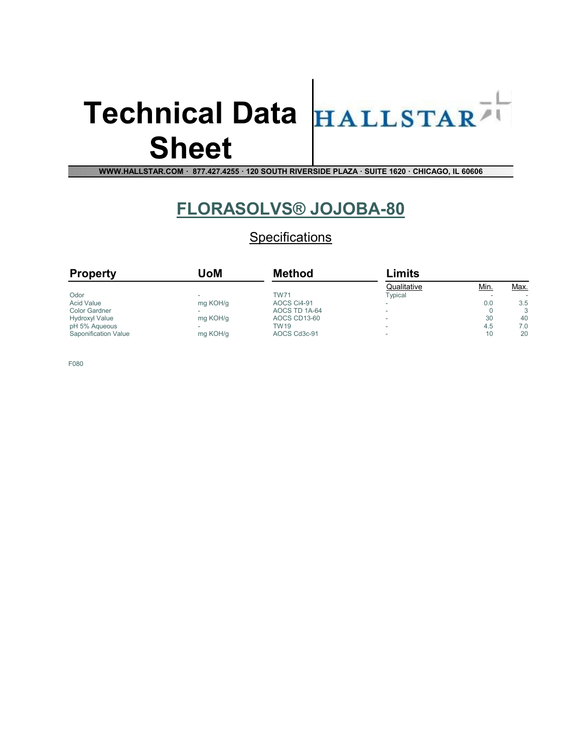### Technical Data HALLSTAR Sheet



WWW.HALLSTAR.COM · 877.427.4255 · 120 SOUTH RIVERSIDE PLAZA · SUITE 1620 · CHICAGO, IL 60606

### FLORASOLVS® JOJOBA-80

**Specifications** 

| <b>Property</b>       | JoM      | <b>Method</b> | Limits      |             |      |
|-----------------------|----------|---------------|-------------|-------------|------|
|                       |          |               | Qualitative | <u>Min.</u> | Max. |
| Odor                  |          | <b>TW71</b>   | Typical     |             | ۰    |
| <b>Acid Value</b>     | mg KOH/g | AOCS Ci4-91   | -           | 0.0         | 3.5  |
| <b>Color Gardner</b>  |          | AOCS TD 1A-64 |             |             | 3    |
| <b>Hydroxyl Value</b> | mg KOH/g | AOCS CD13-60  |             | 30          | 40   |
| pH 5% Aqueous         |          | <b>TW19</b>   |             | 4.5         | 7.0  |
| Saponification Value  | mg KOH/g | AOCS Cd3c-91  |             | 10          | 20   |

F080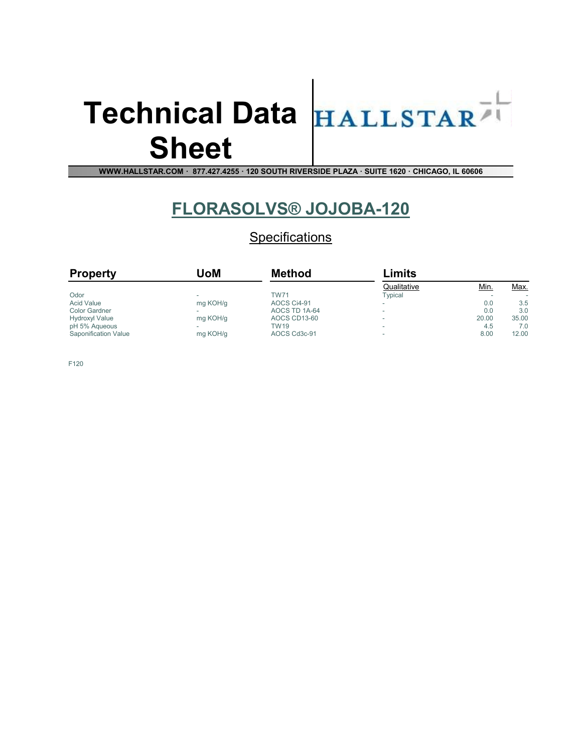# Sheet



WWW.HALLSTAR.COM · 877.427.4255 · 120 SOUTH RIVERSIDE PLAZA · SUITE 1620 · CHICAGO, IL 60606

### FLORASOLVS® JOJOBA-120

**Specifications** 

| <b>Property</b>       | UoM      | <b>Method</b> | Limits      |             |             |
|-----------------------|----------|---------------|-------------|-------------|-------------|
|                       |          |               | Qualitative | <u>Min.</u> | <u>Max.</u> |
| Odor                  |          | <b>TW71</b>   | Typical     |             | ۰           |
| <b>Acid Value</b>     | mg KOH/g | AOCS Ci4-91   |             | 0.0         | 3.5         |
| <b>Color Gardner</b>  |          | AOCS TD 1A-64 |             | 0.0         | 3.0         |
| <b>Hydroxyl Value</b> | mg KOH/g | AOCS CD13-60  |             | 20.00       | 35.00       |
| pH 5% Aqueous         |          | <b>TW19</b>   |             | 4.5         | 7.0         |
| Saponification Value  | mg KOH/g | AOCS Cd3c-91  |             | 8.00        | 12.00       |

F120